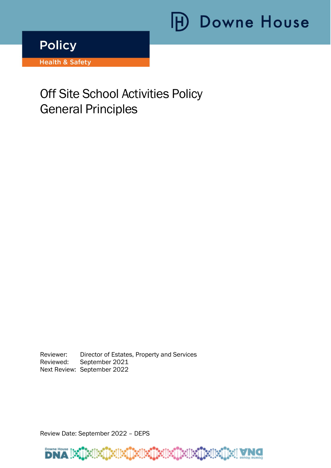# **H** Downe House

**Policy** 

**Health & Safety** 

# Off Site School Activities Policy General Principles

ׇ֩֘֡

Reviewer: Director of Estates, Property and Services Reviewed: September 2021 Next Review: September 2022

Review Date: September 2022 – DEPS

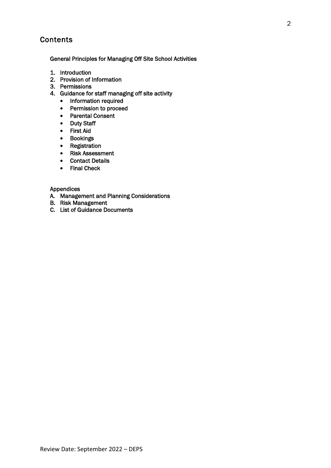# **Contents**

General Principles for Managing Off Site School Activities

- 1. Introduction
- 2. Provision of Information
- 3. Permissions
- 4. Guidance for staff managing off site activity
	- Information required
	- Permission to proceed
	- Parental Consent
	- Duty Staff
	- First Aid
	- Bookings
	- Registration
	- Risk Assessment
	- Contact Details
	- Final Check

#### Appendices

- A. Management and Planning Considerations
- B. Risk Management
- C. List of Guidance Documents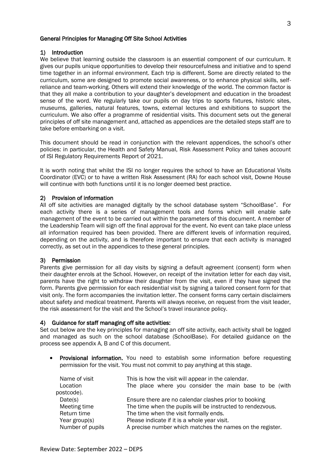#### General Principles for Managing Off Site School Activities

#### 1) Introduction

We believe that learning outside the classroom is an essential component of our curriculum. It gives our pupils unique opportunities to develop their resourcefulness and initiative and to spend time together in an informal environment. Each trip is different. Some are directly related to the curriculum, some are designed to promote social awareness, or to enhance physical skills, selfreliance and team-working. Others will extend their knowledge of the world. The common factor is that they all make a contribution to your daughter's development and education in the broadest sense of the word. We regularly take our pupils on day trips to sports fixtures, historic sites, museums, galleries, natural features, towns, external lectures and exhibitions to support the curriculum. We also offer a programme of residential visits. This document sets out the general principles of off site management and, attached as appendices are the detailed steps staff are to take before embarking on a visit.

This document should be read in conjunction with the relevant appendices, the school's other policies: in particular, the Health and Safety Manual, Risk Assessment Policy and takes account of ISI Regulatory Requirements Report of 2021.

It is worth noting that whilst the ISI no longer requires the school to have an Educational Visits Coordinator (EVC) or to have a written Risk Assessment (RA) for each school visit, Downe House will continue with both functions until it is no longer deemed best practice.

#### 2) Provision of information

All off site activities are managed digitally by the school database system "SchoolBase". For each activity there is a series of management tools and forms which will enable safe management of the event to be carried out within the parameters of this document. A member of the Leadership Team will sign off the final approval for the event. No event can take place unless all information required has been provided. There are different levels of information required, depending on the activity, and is therefore important to ensure that each activity is managed correctly, as set out in the appendices to these general principles.

#### 3) Permission

Parents give permission for all day visits by signing a default agreement (consent) form when their daughter enrols at the School. However, on receipt of the invitation letter for each day visit, parents have the right to withdraw their daughter from the visit, even if they have signed the form. Parents give permission for each residential visit by signing a tailored consent form for that visit only. The form accompanies the invitation letter. The consent forms carry certain disclaimers about safety and medical treatment. Parents will always receive, on request from the visit leader, the risk assessment for the visit and the School's travel insurance policy.

#### 4) Guidance for staff managing off site activities:

Set out below are the key principles for managing an off site activity, each activity shall be logged and managed as such on the school database (SchoolBase). For detailed guidance on the process see appendix A, B and C of this document.

• Provisional information. You need to establish some information before requesting permission for the visit. You must not commit to pay anything at this stage.

| Name of visit    | This is how the visit will appear in the calendar.         |  |  |
|------------------|------------------------------------------------------------|--|--|
| Location         | The place where you consider the main base to be (with     |  |  |
| postcode).       |                                                            |  |  |
| Date(s)          | Ensure there are no calendar clashes prior to booking      |  |  |
| Meeting time     | The time when the pupils will be instructed to rendezvous. |  |  |
| Return time      | The time when the visit formally ends.                     |  |  |
| Year group(s)    | Please indicate if it is a whole year visit.               |  |  |
| Number of pupils | A precise number which matches the names on the register.  |  |  |
|                  |                                                            |  |  |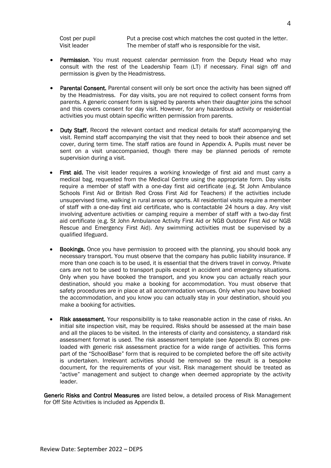Cost per pupil Put a precise cost which matches the cost quoted in the letter. Visit leader The member of staff who is responsible for the visit.

- Permission. You must request calendar permission from the Deputy Head who may consult with the rest of the Leadership Team (LT) if necessary. Final sign off and permission is given by the Headmistress.
- Parental Consent. Parental consent will only be sort once the activity has been signed off by the Headmistress. For day visits, you are not required to collect consent forms from parents. A generic consent form is signed by parents when their daughter joins the school and this covers consent for day visit. However, for any hazardous activity or residential activities you must obtain specific written permission from parents.
- Duty Staff. Record the relevant contact and medical details for staff accompanying the visit. Remind staff accompanying the visit that they need to book their absence and set cover, during term time. The staff ratios are found in Appendix A. Pupils must never be sent on a visit unaccompanied, though there may be planned periods of remote supervision during a visit.
- First aid. The visit leader requires a working knowledge of first aid and must carry a medical bag, requested from the Medical Centre using the appropriate form. Day visits require a member of staff with a one-day first aid certificate (e.g. St John Ambulance Schools First Aid or British Red Cross First Aid for Teachers) if the activities include unsupervised time, walking in rural areas or sports. All residential visits require a member of staff with a one-day first aid certificate, who is contactable 24 hours a day. Any visit involving adventure activities or camping require a member of staff with a two-day first aid certificate (e.g. St John Ambulance Activity First Aid or NGB Outdoor First Aid or NGB Rescue and Emergency First Aid). Any swimming activities must be supervised by a qualified lifeguard.
- **Bookings.** Once you have permission to proceed with the planning, you should book any necessary transport. You must observe that the company has public liability insurance. If more than one coach is to be used, it is essential that the drivers travel in convoy. Private cars are not to be used to transport pupils except in accident and emergency situations. Only when you have booked the transport, and you know you can actually reach your destination, should you make a booking for accommodation. You must observe that safety procedures are in place at all accommodation venues. Only when you have booked the accommodation, and you know you can actually stay in your destination, should you make a booking for activities.
- Risk assessment. Your responsibility is to take reasonable action in the case of risks. An initial site inspection visit, may be required. Risks should be assessed at the main base and all the places to be visited. In the interests of clarity and consistency, a standard risk assessment format is used. The risk assessment template (see Appendix B) comes preloaded with generic risk assessment practice for a wide range of activities. This forms part of the "SchoolBase" form that is required to be completed before the off site activity is undertaken. Irrelevant activities should be removed so the result is a bespoke document, for the requirements of your visit. Risk management should be treated as "active" management and subject to change when deemed appropriate by the activity leader.

Generic Risks and Control Measures are listed below, a detailed process of Risk Management for Off Site Activities is included as Appendix B.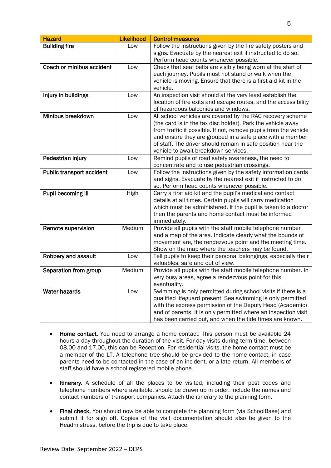| <b>Hazard</b>             | Likelihood | <b>Control measures</b>                                                                                                                                                                                                                                                                                                                                            |
|---------------------------|------------|--------------------------------------------------------------------------------------------------------------------------------------------------------------------------------------------------------------------------------------------------------------------------------------------------------------------------------------------------------------------|
| <b>Building fire</b>      | Low        | Follow the instructions given by the fire safety posters and<br>signs. Evacuate by the nearest exit if instructed to do so.<br>Perform head counts whenever possible.                                                                                                                                                                                              |
| Coach or minibus accident | Low        | Check that seat belts are visibly being worn at the start of<br>each journey. Pupils must not stand or walk when the<br>vehicle is moving. Ensure that there is a first aid kit in the<br>vehicle.                                                                                                                                                                 |
| Injury in buildings       | Low        | An inspection visit should at the very least establish the<br>location of fire exits and escape routes, and the accessibility<br>of hazardous balconies and windows.                                                                                                                                                                                               |
| Minibus breakdown         | Low        | All school vehicles are covered by the RAC recovery scheme<br>(the card is in the tax disc holder). Park the vehicle away<br>from traffic if possible. If not, remove pupils from the vehicle<br>and ensure they are grouped in a safe place with a member<br>of staff. The driver should remain in safe position near the<br>vehicle to await breakdown services. |
| Pedestrian injury         | Low        | Remind pupils of road safety awareness, the need to<br>concentrate and to use pedestrian crossings.                                                                                                                                                                                                                                                                |
| Public transport accident | Low        | Follow the instructions given by the safety information cards<br>and signs. Evacuate by the nearest exit if instructed to do<br>so. Perform head counts whenever possible.                                                                                                                                                                                         |
| Pupil becoming ill        | High       | Carry a first aid kit and the pupil's medical and contact<br>details at all times. Certain pupils will carry medication<br>which must be administered. If the pupil is taken to a doctor<br>then the parents and home contact must be informed<br>immediately.                                                                                                     |
| Remote supervision        | Medium     | Provide all pupils with the staff mobile telephone number<br>and a map of the area. Indicate clearly what the bounds of<br>movement are, the rendezvous point and the meeting time.<br>Show on the map where the teachers may be found.                                                                                                                            |
| Robbery and assault       | Low        | Tell pupils to keep their personal belongings, especially their<br>valuables, safe and out of view.                                                                                                                                                                                                                                                                |
| Separation from group     | Medium     | Provide all pupils with the staff mobile telephone number. In<br>very busy areas, agree a rendezvous point for this<br>eventuality.                                                                                                                                                                                                                                |
| <b>Water hazards</b>      | Low        | Swimming is only permitted during school visits if there is a<br>qualified lifeguard present. Sea swimming is only permitted<br>with the express permission of the Deputy Head (Academic)<br>and of parents. It is only permitted where an inspection visit<br>has been carried out, and when the tide times are known.                                            |

- Home contact. You need to arrange a home contact. This person must be available 24 hours a day throughout the duration of the visit. For day visits during term time, between 08.00 and 17.00, this can be Reception. For residential visits, the home contact must be a member of the LT. A telephone tree should be provided to the home contact, in case parents need to be contacted in the case of an incident, or a late return. All members of staff should have a school registered mobile phone.
- Itinerary. A schedule of all the places to be visited, including their post codes and telephone numbers where available, should be drawn up in order. Include the names and contact numbers of transport companies. Attach the itinerary to the planning form.
- Final check. You should now be able to complete the planning form (via SchoolBase) and submit it for sign off. Copies of the visit documentation should also be given to the Headmistress, before the trip is due to take place.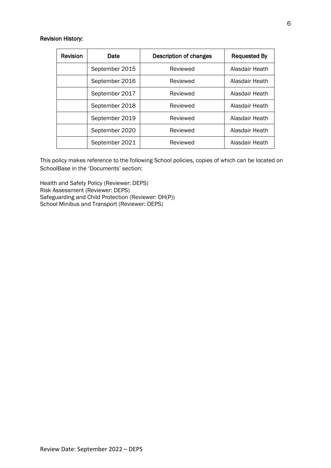#### Revision History:

| <b>Revision</b> | Date           | Description of changes | <b>Requested By</b> |
|-----------------|----------------|------------------------|---------------------|
|                 | September 2015 | Reviewed               | Alasdair Heath      |
|                 | September 2016 | Reviewed               | Alasdair Heath      |
|                 | September 2017 | Reviewed               | Alasdair Heath      |
|                 | September 2018 | Reviewed               | Alasdair Heath      |
|                 | September 2019 | Reviewed               | Alasdair Heath      |
|                 | September 2020 | Reviewed               | Alasdair Heath      |
|                 | September 2021 | Reviewed               | Alasdair Heath      |

This policy makes reference to the following School policies, copies of which can be located on SchoolBase in the 'Documents' section:

Health and Safety Policy (Reviewer: DEPS) Risk Assessment (Reviewer: DEPS) Safeguarding and Child Protection (Reviewer: DH(P)) School Minibus and Transport (Reviewer: DEPS)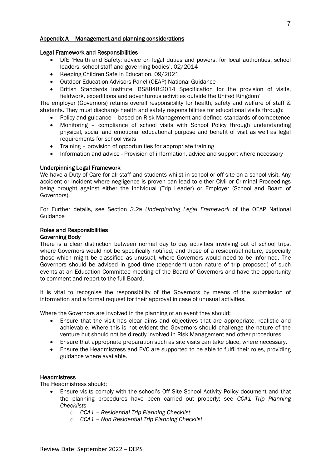#### Appendix A – Management and planning considerations

#### Legal Framework and Responsibilities

- DfE 'Health and Safety: advice on legal duties and powers, for local authorities, school leaders, school staff and governing bodies'. 02/2014
- Keeping Children Safe in Education. 09/2021
- Outdoor Education Advisors Panel (OEAP) National Guidance
- British Standards Institute 'BS8848:2014 Specification for the provision of visits, fieldwork, expeditions and adventurous activities outside the United Kingdom'

The employer (Governors) retains overall responsibility for health, safety and welfare of staff & students. They must discharge health and safety responsibilities for educational visits through:

- Policy and guidance based on Risk Management and defined standards of competence
- Monitoring compliance of school visits with School Policy through understanding physical, social and emotional educational purpose and benefit of visit as well as legal requirements for school visits
- Training provision of opportunities for appropriate training
- Information and advice Provision of information, advice and support where necessary

#### Underpinning Legal Framework

We have a Duty of Care for all staff and students whilst in school or off site on a school visit. Any accident or incident where negligence is proven can lead to either Civil or Criminal Proceedings being brought against either the individual (Trip Leader) or Employer (School and Board of Governors).

For Further details, see Section *3.2a Underpinning Legal Framework* of the OEAP National Guidance

#### Roles and Responsibilities

#### Governing Body

There is a clear distinction between normal day to day activities involving out of school trips, where Governors would not be specifically notified, and those of a residential nature, especially those which might be classified as unusual, where Governors would need to be informed. The Governors should be advised in good time (dependent upon nature of trip proposed) of such events at an Education Committee meeting of the Board of Governors and have the opportunity to comment and report to the full Board.

It is vital to recognise the responsibility of the Governors by means of the submission of information and a formal request for their approval in case of unusual activities.

Where the Governors are involved in the planning of an event they should;

- Ensure that the visit has clear aims and objectives that are appropriate, realistic and achievable. Where this is not evident the Governors should challenge the nature of the venture but should not be directly involved in Risk Management and other procedures.
- Ensure that appropriate preparation such as site visits can take place, where necessary.
- Ensure the Headmistress and EVC are supported to be able to fulfil their roles, providing guidance where available.

#### **Headmistress**

The Headmistress should;

- Ensure visits comply with the school's Off Site School Activity Policy document and that the planning procedures have been carried out properly; see *CCA1 Trip Planning Checklists*
	- o *CCA1 – Residential Trip Planning Checklist*
	- o *CCA1 – Non Residential Trip Planning Checklist*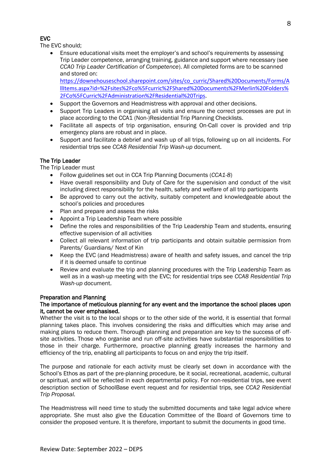# EVC

The EVC should;

• Ensure educational visits meet the employer's and school's requirements by assessing Trip Leader competence, arranging training, guidance and support where necessary (see *CCA0 Trip Leader Certification of Competence*). All completed forms are to be scanned and stored on:

[https://downehouseschool.sharepoint.com/sites/co\\_curric/Shared%20Documents/Forms/A](../../../../../../../co_curric/Shared%20Documents/Forms/AllItems.aspx?id=%2Fsites%2Fco%5Fcurric%2FShared%20Documents%2FMerlin%20Folders%2FCo%5FCurric%2FAdministration%2FResidential%20Trips) [llItems.aspx?id=%2Fsites%2Fco%5Fcurric%2FShared%20Documents%2FMerlin%20Folders%](../../../../../../../co_curric/Shared%20Documents/Forms/AllItems.aspx?id=%2Fsites%2Fco%5Fcurric%2FShared%20Documents%2FMerlin%20Folders%2FCo%5FCurric%2FAdministration%2FResidential%20Trips) [2FCo%5FCurric%2FAdministration%2FResidential%20Trips](../../../../../../../co_curric/Shared%20Documents/Forms/AllItems.aspx?id=%2Fsites%2Fco%5Fcurric%2FShared%20Documents%2FMerlin%20Folders%2FCo%5FCurric%2FAdministration%2FResidential%20Trips).

- Support the Governors and Headmistress with approval and other decisions.
- Support Trip Leaders in organising all visits and ensure the correct processes are put in place according to the CCA1 (Non-)Residential Trip Planning Checklists.
- Facilitate all aspects of trip organisation, ensuring On-Call cover is provided and trip emergency plans are robust and in place.
- Support and facilitate a debrief and wash up of all trips, following up on all incidents. For residential trips see *CCA8 Residential Trip Wash-up* document.

### The Trip Leader

The Trip Leader must

- Follow guidelines set out in CCA Trip Planning Documents (*CCA1-8*)
- Have overall responsibility and Duty of Care for the supervision and conduct of the visit including direct responsibility for the health, safety and welfare of all trip participants
- Be approved to carry out the activity, suitably competent and knowledgeable about the school's policies and procedures
- Plan and prepare and assess the risks
- Appoint a Trip Leadership Team where possible
- Define the roles and responsibilities of the Trip Leadership Team and students, ensuring effective supervision of all activities
- Collect all relevant information of trip participants and obtain suitable permission from Parents/ Guardians/ Next of Kin
- Keep the EVC (and Headmistress) aware of health and safety issues, and cancel the trip if it is deemed unsafe to continue
- Review and evaluate the trip and planning procedures with the Trip Leadership Team as well as in a wash-up meeting with the EVC; for residential trips see *CCA8 Residential Trip Wash-up* document.

#### Preparation and Planning

#### The importance of meticulous planning for any event and the importance the school places upon it, cannot be over emphasised.

Whether the visit is to the local shops or to the other side of the world, it is essential that formal planning takes place. This involves considering the risks and difficulties which may arise and making plans to reduce them. Thorough planning and preparation are key to the success of offsite activities. Those who organise and run off-site activities have substantial responsibilities to those in their charge. Furthermore, proactive planning greatly increases the harmony and efficiency of the trip, enabling all participants to focus on and enjoy the trip itself.

The purpose and rationale for each activity must be clearly set down in accordance with the School's Ethos as part of the pre-planning procedure, be it social, recreational, academic, cultural or spiritual, and will be reflected in each departmental policy. For non-residential trips, see event description section of SchoolBase event request and for residential trips, see *CCA2 Residential Trip Proposal.*

The Headmistress will need time to study the submitted documents and take legal advice where appropriate. She must also give the Education Committee of the Board of Governors time to consider the proposed venture. It is therefore, important to submit the documents in good time.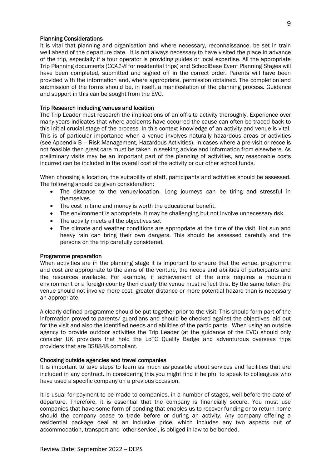#### Planning Considerations

It is vital that planning and organisation and where necessary, reconnaissance, be set in train well ahead of the departure date. It is not always necessary to have visited the place in advance of the trip, especially if a tour operator is providing guides or local expertise. All the appropriate Trip Planning documents (*CCA1-8* for residential trips) and SchoolBase Event Planning Stages will have been completed, submitted and signed off in the correct order. Parents will have been provided with the information and, where appropriate, permission obtained. The completion and submission of the forms should be, in itself, a manifestation of the planning process. Guidance and support in this can be sought from the EVC.

#### Trip Research including venues and location

The Trip Leader must research the implications of an off-site activity thoroughly. Experience over many years indicates that where accidents have occurred the cause can often be traced back to this initial crucial stage of the process. In this context knowledge of an activity and venue is vital. This is of particular importance when a venue involves naturally hazardous areas or activities (see Appendix B – Risk Management, Hazardous Activities). In cases where a pre-visit or recce is not feasible then great care must be taken in seeking advice and information from elsewhere. As preliminary visits may be an important part of the planning of activities, any reasonable costs incurred can be included in the overall cost of the activity or our other school funds.

When choosing a location, the suitability of staff, participants and activities should be assessed. The following should be given consideration:

- The distance to the venue/location. Long journeys can be tiring and stressful in themselves.
- The cost in time and money is worth the educational benefit.
- The environment is appropriate. It may be challenging but not involve unnecessary risk
- The activity meets all the objectives set
- The climate and weather conditions are appropriate at the time of the visit. Hot sun and heavy rain can bring their own dangers. This should be assessed carefully and the persons on the trip carefully considered.

#### Programme preparation

When activities are in the planning stage it is important to ensure that the venue, programme and cost are appropriate to the aims of the venture, the needs and abilities of participants and the resources available. For example, if achievement of the aims requires a mountain environment or a foreign country then clearly the venue must reflect this. By the same token the venue should not involve more cost, greater distance or more potential hazard than is necessary an appropriate.

A clearly defined programme should be put together prior to the visit. This should form part of the information proved to parents/ guardians and should be checked against the objectives laid out for the visit and also the identified needs and abilities of the participants. When using an outside agency to provide outdoor activities the Trip Leader (at the guidance of the EVC) should only consider UK providers that hold the LoTC Quality Badge and adventurous overseas trips providers that are BS8848 compliant.

#### Choosing outside agencies and travel companies

It is important to take steps to learn as much as possible about services and facilities that are included in any contract. In considering this you might find it helpful to speak to colleagues who have used a specific company on a previous occasion.

It is usual for payment to be made to companies, in a number of stages, well before the date of departure. Therefore, it is essential that the company is financially secure. You must use companies that have some form of bonding that enables us to recover funding or to return home should the company cease to trade before or during an activity. Any company offering a residential package deal at an inclusive price, which includes any two aspects out of accommodation, transport and 'other service', is obliged in law to be bonded.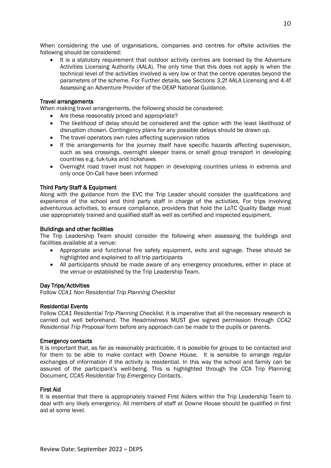When considering the use of organisations, companies and centres for offsite activities the following should be considered:

It is a statutory requirement that outdoor activity centres are licensed by the Adventure Activities Licensing Authority (AALA). The only time that this does not apply is when the technical level of the activities involved is very low or that the centre operates beyond the parameters of the scheme. For Further details, see Sections 3.2f AALA Licensing and 4.4f Assessing an Adventure Provider of the OEAP National Guidance.

#### Travel arrangements

When making travel arrangements, the following should be considered:

- Are these reasonably priced and appropriate?
- The likelihood of delay should be considered and the option with the least likelihood of disruption chosen. Contingency plans for any possible delays should be drawn up.
- The travel operators own rules affecting supervision ratios
- If the arrangements for the journey itself have specific hazards affecting supervision, such as sea crossings, overnight sleeper trains or small group transport in developing countries e.g. tuk-tuks and rickshaws
- Overnight road travel must not happen in developing countries unless in extremis and only once On-Call have been informed

#### Third Party Staff & Equipment

Along with the guidance from the EVC the Trip Leader should consider the qualifications and experience of the school and third party staff in charge of the activities. For trips involving adventurous activities, to ensure compliance, providers that hold the LoTC Quality Badge must use appropriately trained and qualified staff as well as certified and inspected equipment.

#### Buildings and other facilities

The Trip Leadership Team should consider the following when assessing the buildings and facilities available at a venue:

- Appropriate and functional fire safety equipment, exits and signage. These should be highlighted and explained to all trip participants
- All participants should be made aware of any emergency procedures, either in place at the venue or established by the Trip Leadership Team.

#### Day Trips/Activities

Follow *CCA1 Non Residential Trip Planning Checklist*

#### Residential Events

Follow *CCA1 Residential Trip Planning Checklist.* It is imperative that all the necessary research is carried out well beforehand. The Headmistress MUST give signed permission through *CCA2 Residential Trip Proposal* form before any approach can be made to the pupils or parents.

#### Emergency contacts

It is important that, as far as reasonably practicable, it is possible for groups to be contacted and for them to be able to make contact with Downe House. It is sensible to arrange regular exchanges of information if the activity is residential. In this way the school and family can be assured of the participant's well-being. This is highlighted through the CCA Trip Planning Document*, CCA5 Residential Trip Emergency Contacts*.

#### First Aid

It is essential that there is appropriately trained First Aiders within the Trip Leadership Team to deal with any likely emergency. All members of staff at Downe House should be qualified in first aid at some level.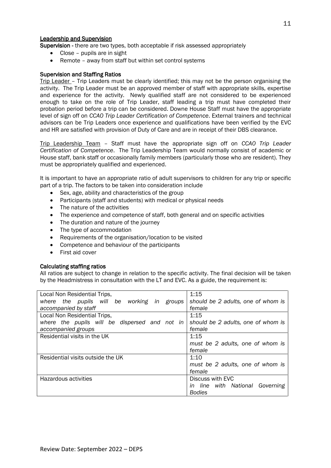#### Leadership and Supervision

Supervision - there are two types, both acceptable if risk assessed appropriately

- Close pupils are in sight
- Remote away from staff but within set control systems

#### Supervision and Staffing Ratios

Trip Leader – Trip Leaders must be clearly identified; this may not be the person organising the activity. The Trip Leader must be an approved member of staff with appropriate skills, expertise and experience for the activity. Newly qualified staff are not considered to be experienced enough to take on the role of Trip Leader, staff leading a trip must have completed their probation period before a trip can be considered. Downe House Staff must have the appropriate level of sign off on *CCA0 Trip Leader Certification of Competence*. External trainers and technical advisors can be Trip Leaders once experience and qualifications have been verified by the EVC and HR are satisfied with provision of Duty of Care and are in receipt of their DBS clearance.

Trip Leadership Team – Staff must have the appropriate sign off on *CCA0 Trip Leader Certification of Competence*. The Trip Leadership Team would normally consist of academic or House staff, bank staff or occasionally family members (particularly those who are resident). They must be appropriately qualified and experienced.

It is important to have an appropriate ratio of adult supervisors to children for any trip or specific part of a trip. The factors to be taken into consideration include

- Sex, age, ability and characteristics of the group
- Participants (staff and students) with medical or physical needs
- The nature of the activities
- The experience and competence of staff, both general and on specific activities
- The duration and nature of the journey
- The type of accommodation
- Requirements of the organisation/location to be visited
- Competence and behaviour of the participants
- First aid cover

#### Calculating staffing ratios

All ratios are subject to change in relation to the specific activity. The final decision will be taken by the Headmistress in consultation with the LT and EVC. As a guide, the requirement is:

| Local Non Residential Trips,                  | 1:15                               |  |
|-----------------------------------------------|------------------------------------|--|
| where the pupils will be working in groups    | should be 2 adults, one of whom is |  |
| accompanied by staff                          | female                             |  |
| Local Non Residential Trips,                  | 1:15                               |  |
| where the pupils will be dispersed and not in | should be 2 adults, one of whom is |  |
| accompanied groups                            | female                             |  |
| Residential visits in the UK                  | 1:15                               |  |
|                                               | must be 2 adults, one of whom is   |  |
|                                               | female                             |  |
| Residential visits outside the UK             | 1:10                               |  |
|                                               | must be 2 adults, one of whom is   |  |
|                                               | female                             |  |
| Hazardous activities                          | Discuss with EVC                   |  |
|                                               | line with National Governing<br>in |  |
|                                               | <b>Bodies</b>                      |  |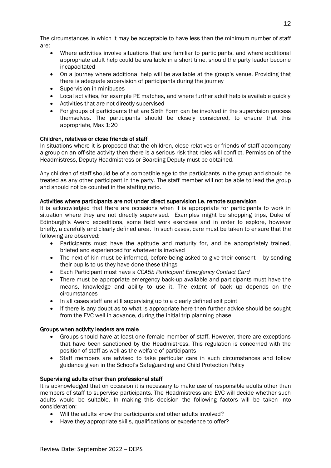The circumstances in which it may be acceptable to have less than the minimum number of staff are:

- Where activities involve situations that are familiar to participants, and where additional appropriate adult help could be available in a short time, should the party leader become incapacitated
- On a journey where additional help will be available at the group's venue. Providing that there is adequate supervision of participants during the journey
- Supervision in minibuses
- Local activities, for example PE matches, and where further adult help is available quickly
- Activities that are not directly supervised
- For groups of participants that are Sixth Form can be involved in the supervision process themselves. The participants should be closely considered, to ensure that this appropriate, Max 1:20

#### Children, relatives or close friends of staff

In situations where it is proposed that the children, close relatives or friends of staff accompany a group on an off-site activity then there is a serious risk that roles will conflict. Permission of the Headmistress, Deputy Headmistress or Boarding Deputy must be obtained.

Any children of staff should be of a compatible age to the participants in the group and should be treated as any other participant in the party. The staff member will not be able to lead the group and should not be counted in the staffing ratio.

#### Activities where participants are not under direct supervision i.e. remote supervision

It is acknowledged that there are occasions when it is appropriate for participants to work in situation where they are not directly supervised. Examples might be shopping trips, Duke of Edinburgh's Award expeditions, some field work exercises and in order to explore, however briefly, a carefully and clearly defined area. In such cases, care must be taken to ensure that the following are observed:

- Participants must have the aptitude and maturity for, and be appropriately trained, briefed and experienced for whatever is involved
- The next of kin must be informed, before being asked to give their consent by sending their pupils to us they have done these things
- Each Participant must have a *CCA5b Participant Emergency Contact Card*
- There must be appropriate emergency back-up available and participants must have the means, knowledge and ability to use it. The extent of back up depends on the circumstances
- In all cases staff are still supervising up to a clearly defined exit point
- If there is any doubt as to what is appropriate here then further advice should be sought from the EVC well in advance, during the initial trip planning phase

#### Groups when activity leaders are male

- Groups should have at least one female member of staff. However, there are exceptions that have been sanctioned by the Headmistress. This regulation is concerned with the position of staff as well as the welfare of participants
- Staff members are advised to take particular care in such circumstances and follow guidance given in the School's Safeguarding and Child Protection Policy

#### Supervising adults other than professional staff

It is acknowledged that on occasion it is necessary to make use of responsible adults other than members of staff to supervise participants. The Headmistress and EVC will decide whether such adults would be suitable. In making this decision the following factors will be taken into consideration:

- Will the adults know the participants and other adults involved?
- Have they appropriate skills, qualifications or experience to offer?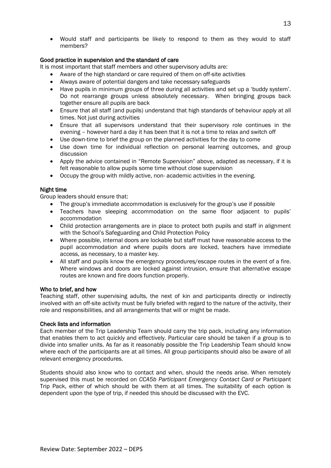• Would staff and participants be likely to respond to them as they would to staff members?

#### Good practice in supervision and the standard of care

It is most important that staff members and other supervisory adults are:

- Aware of the high standard or care required of them on off-site activities
- Always aware of potential dangers and take necessary safeguards
- Have pupils in minimum groups of three during all activities and set up a 'buddy system'. Do not rearrange groups unless absolutely necessary. When bringing groups back together ensure all pupils are back
- Ensure that all staff (and pupils) understand that high standards of behaviour apply at all times. Not just during activities
- Ensure that all supervisors understand that their supervisory role continues in the evening – however hard a day it has been that it is not a time to relax and switch off
- Use down-time to brief the group on the planned activities for the day to come
- Use down time for individual reflection on personal learning outcomes, and group discussion
- Apply the advice contained in "Remote Supervision" above, adapted as necessary, if it is felt reasonable to allow pupils some time without close supervision
- Occupy the group with mildly active, non- academic activities in the evening.

#### Night time

Group leaders should ensure that:

- The group's immediate accommodation is exclusively for the group's use if possible
- Teachers have sleeping accommodation on the same floor adjacent to pupils' accommodation
- Child protection arrangements are in place to protect both pupils and staff in alignment with the School's Safeguarding and Child Protection Policy
- Where possible, internal doors are lockable but staff must have reasonable access to the pupil accommodation and where pupils doors are locked, teachers have immediate access, as necessary, to a master key.
- All staff and pupils know the emergency procedures/escape routes in the event of a fire. Where windows and doors are locked against intrusion, ensure that alternative escape routes are known and fire doors function properly.

#### Who to brief, and how

Teaching staff, other supervising adults, the next of kin and participants directly or indirectly involved with an off-site activity must be fully briefed with regard to the nature of the activity, their role and responsibilities, and all arrangements that will or might be made.

#### Check lists and information

Each member of the Trip Leadership Team should carry the trip pack, including any information that enables them to act quickly and effectively. Particular care should be taken if a group is to divide into smaller units. As far as it reasonably possible the Trip Leadership Team should know where each of the participants are at all times. All group participants should also be aware of all relevant emergency procedures.

Students should also know who to contact and when, should the needs arise. When remotely supervised this must be recorded on *CCA5b Participant Emergency Contact Card* or Participant Trip Pack, either of which should be with them at all times. The suitability of each option is dependent upon the type of trip, if needed this should be discussed with the EVC.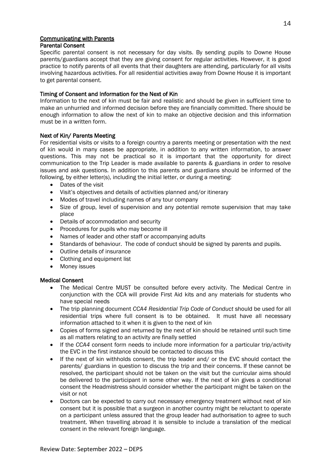# Communicating with Parents

# Parental Consent

Specific parental consent is not necessary for day visits. By sending pupils to Downe House parents/guardians accept that they are giving consent for regular activities. However, it is good practice to notify parents of all events that their daughters are attending, particularly for all visits involving hazardous activities. For all residential activities away from Downe House it is important to get parental consent.

#### Timing of Consent and Information for the Next of Kin

Information to the next of kin must be fair and realistic and should be given in sufficient time to make an unhurried and informed decision before they are financially committed. There should be enough information to allow the next of kin to make an objective decision and this information must be in a written form.

#### Next of Kin/ Parents Meeting

For residential visits or visits to a foreign country a parents meeting or presentation with the next of kin would in many cases be appropriate, in addition to any written information, to answer questions. This may not be practical so it is important that the opportunity for direct communication to the Trip Leader is made available to parents & guardians in order to resolve issues and ask questions. In addition to this parents and guardians should be informed of the following, by either letter(s), including the initial letter, or during a meeting:

- Dates of the visit
- Visit's objectives and details of activities planned and/or itinerary
- Modes of travel including names of any tour company
- Size of group, level of supervision and any potential remote supervision that may take place
- Details of accommodation and security
- Procedures for pupils who may become ill
- Names of leader and other staff or accompanying adults
- Standards of behaviour. The code of conduct should be signed by parents and pupils.
- Outline details of insurance
- Clothing and equipment list
- Money issues

#### Medical Consent

- The Medical Centre MUST be consulted before every activity. The Medical Centre in conjunction with the CCA will provide First Aid kits and any materials for students who have special needs
- The trip planning document *CCA4 Residential Trip Code of Conduct* should be used for all residential trips where full consent is to be obtained. It must have all necessary information attached to it when it is given to the next of kin
- Copies of forms signed and returned by the next of kin should be retained until such time as all matters relating to an activity are finally settled
- If the *CCA4* consent form needs to include more information for a particular trip/activity the EVC in the first instance should be contacted to discuss this
- If the next of kin withholds consent, the trip leader and/ or the EVC should contact the parents/ guardians in question to discuss the trip and their concerns. If these cannot be resolved, the participant should not be taken on the visit but the curricular aims should be delivered to the participant in some other way. If the next of kin gives a conditional consent the Headmistress should consider whether the participant might be taken on the visit or not
- Doctors can be expected to carry out necessary emergency treatment without next of kin consent but it is possible that a surgeon in another country might be reluctant to operate on a participant unless assured that the group leader had authorisation to agree to such treatment. When travelling abroad it is sensible to include a translation of the medical consent in the relevant foreign language.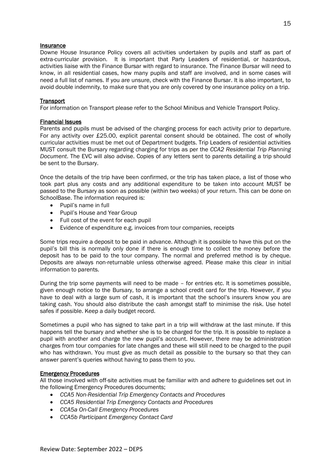#### **Insurance**

Downe House Insurance Policy covers all activities undertaken by pupils and staff as part of extra-curricular provision. It is important that Party Leaders of residential, or hazardous, activities liaise with the Finance Bursar with regard to insurance. The Finance Bursar will need to know, in all residential cases, how many pupils and staff are involved, and in some cases will need a full list of names. If you are unsure, check with the Finance Bursar. It is also important, to avoid double indemnity, to make sure that you are only covered by one insurance policy on a trip.

#### **Transport**

For information on Transport please refer to the School Minibus and Vehicle Transport Policy.

#### Financial Issues

Parents and pupils must be advised of the charging process for each activity prior to departure. For any activity over £25.00, explicit parental consent should be obtained. The cost of wholly curricular activities must be met out of Department budgets. Trip Leaders of residential activities MUST consult the Bursary regarding charging for trips as per the *CCA2 Residential Trip Planning Document*. The EVC will also advise. Copies of any letters sent to parents detailing a trip should be sent to the Bursary.

Once the details of the trip have been confirmed, or the trip has taken place, a list of those who took part plus any costs and any additional expenditure to be taken into account MUST be passed to the Bursary as soon as possible (within two weeks) of your return. This can be done on SchoolBase. The information required is:

- Pupil's name in full
- Pupil's House and Year Group
- Full cost of the event for each pupil
- Evidence of expenditure e.g. invoices from tour companies, receipts

Some trips require a deposit to be paid in advance. Although it is possible to have this put on the pupil's bill this is normally only done if there is enough time to collect the money before the deposit has to be paid to the tour company. The normal and preferred method is by cheque. Deposits are always non-returnable unless otherwise agreed. Please make this clear in initial information to parents.

During the trip some payments will need to be made – for entries etc. It is sometimes possible, given enough notice to the Bursary, to arrange a school credit card for the trip. However, if you have to deal with a large sum of cash, it is important that the school's insurers know you are taking cash. You should also distribute the cash amongst staff to minimise the risk. Use hotel safes if possible. Keep a daily budget record.

Sometimes a pupil who has signed to take part in a trip will withdraw at the last minute. If this happens tell the bursary and whether she is to be charged for the trip. It is possible to replace a pupil with another and charge the new pupil's account. However, there may be administration charges from tour companies for late changes and these will still need to be charged to the pupil who has withdrawn. You must give as much detail as possible to the bursary so that they can answer parent's queries without having to pass them to you.

#### Emergency Procedures

All those involved with off-site activities must be familiar with and adhere to guidelines set out in the following Emergency Procedures documents;

- *CCA5 Non-Residential Trip Emergency Contacts and Procedures*
- *CCA5 Residential Trip Emergency Contacts and Procedures*
- *CCA5a On-Call Emergency Procedures*
- *CCA5b Participant Emergency Contact Card*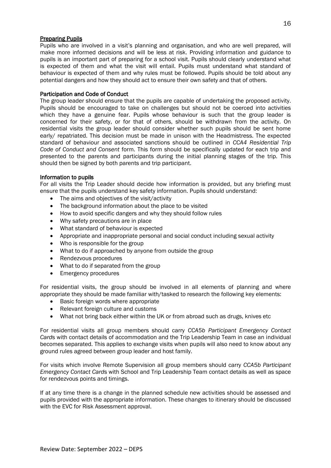#### **Preparing Pupils**

Pupils who are involved in a visit's planning and organisation, and who are well prepared, will make more informed decisions and will be less at risk. Providing information and guidance to pupils is an important part of preparing for a school visit. Pupils should clearly understand what is expected of them and what the visit will entail. Pupils must understand what standard of behaviour is expected of them and why rules must be followed. Pupils should be told about any potential dangers and how they should act to ensure their own safety and that of others.

#### Participation and Code of Conduct

The group leader should ensure that the pupils are capable of undertaking the proposed activity. Pupils should be encouraged to take on challenges but should not be coerced into activities which they have a genuine fear. Pupils whose behaviour is such that the group leader is concerned for their safety, or for that of others, should be withdrawn from the activity. On residential visits the group leader should consider whether such pupils should be sent home early/ repatriated. This decision must be made in unison with the Headmistress. The expected standard of behaviour and associated sanctions should be outlined in *CCA4 Residential Trip Code of Conduct and Consent* form. This form should be specifically updated for each trip and presented to the parents and participants during the initial planning stages of the trip. This should then be signed by both parents and trip participant.

#### Information to pupils

For all visits the Trip Leader should decide how information is provided, but any briefing must ensure that the pupils understand key safety information. Pupils should understand:

- The aims and objectives of the visit/activity
- The background information about the place to be visited
- How to avoid specific dangers and why they should follow rules
- Why safety precautions are in place
- What standard of behaviour is expected
- Appropriate and inappropriate personal and social conduct including sexual activity
- Who is responsible for the group
- What to do if approached by anyone from outside the group
- Rendezvous procedures
- What to do if separated from the group
- Emergency procedures

For residential visits, the group should be involved in all elements of planning and where appropriate they should be made familiar with/tasked to research the following key elements:

- Basic foreign words where appropriate
- Relevant foreign culture and customs
- What not bring back either within the UK or from abroad such as drugs, knives etc

For residential visits all group members should carry *CCA5b Participant Emergency Contact Card*s with contact details of accommodation and the Trip Leadership Team in case an individual becomes separated. This applies to exchange visits when pupils will also need to know about any ground rules agreed between group leader and host family.

For visits which involve Remote Supervision all group members should carry *CCA5b Participant Emergency Contact Card*s with School and Trip Leadership Team contact details as well as space for rendezvous points and timings.

If at any time there is a change in the planned schedule new activities should be assessed and pupils provided with the appropriate information. These changes to itinerary should be discussed with the EVC for Risk Assessment approval.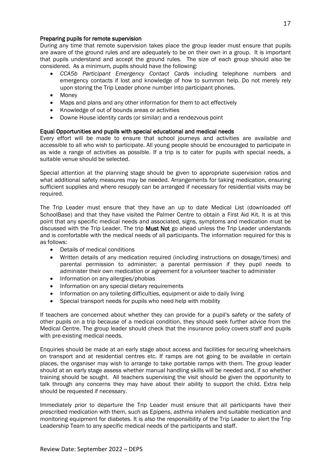#### Preparing pupils for remote supervision

During any time that remote supervision takes place the group leader must ensure that pupils are aware of the ground rules and are adequately to be on their own in a group. It is important that pupils understand and accept the ground rules. The size of each group should also be considered. As a minimum, pupils should have the following:

- *CCA5b Participant Emergency Contact Card*s including telephone numbers and emergency contacts if lost and knowledge of how to summon help. Do not merely rely upon storing the Trip Leader phone number into participant phones.
- Money
- Maps and plans and any other information for them to act effectively
- Knowledge of out of bounds areas or activities
- Downe House identity cards (or similar) and a rendezvous point

#### Equal Opportunities and pupils with special educational and medical needs

Every effort will be made to ensure that school journeys and activities are available and accessible to all who wish to participate. All young people should be encouraged to participate in as wide a range of activities as possible. If a trip is to cater for pupils with special needs, a suitable venue should be selected.

Special attention at the planning stage should be given to appropriate supervision ratios and what additional safety measures may be needed. Arrangements for taking medication, ensuring sufficient supplies and where resupply can be arranged if necessary for residential visits may be required.

The Trip Leader must ensure that they have an up to date Medical List (downloaded off SchoolBase) and that they have visited the Palmer Centre to obtain a First Aid Kit. It is at this point that any specific medical needs and associated, signs, symptoms and medication must be discussed with the Trip Leader. The trip Must Not go ahead unless the Trip Leader understands and is comfortable with the medical needs of all participants. The information required for this is as follows:

- Details of medical conditions
- Written details of any medication required (including instructions on dosage/times) and parental permission to administer; a parental permission if they pupil needs to administer their own medication or agreement for a volunteer teacher to administer
- Information on any allergies/phobias
- Information on any special dietary requirements
- Information on any toileting difficulties, equipment or aide to daily living
- Special transport needs for pupils who need help with mobility

If teachers are concerned about whether they can provide for a pupil's safety or the safety of other pupils on a trip because of a medical condition, they should seek further advice from the Medical Centre. The group leader should check that the insurance policy covers staff and pupils with pre-existing medical needs.

Enquiries should be made at an early stage about access and facilities for securing wheelchairs on transport and at residential centres etc. If ramps are not going to be available in certain places, the organiser may wish to arrange to take portable ramps with them. The group leader should at an early stage assess whether manual handling skills will be needed and, if so whether training should be sought. All teachers supervising the visit should be given the opportunity to talk through any concerns they may have about their ability to support the child. Extra help should be requested if necessary.

Immediately prior to departure the Trip Leader must ensure that all participants have their prescribed medication with them, such as Epipens, asthma inhalers and suitable medication and monitoring equipment for diabetes. It is also the responsibility of the Trip Leader to alert the Trip Leadership Team to any specific medical needs of the participants and staff.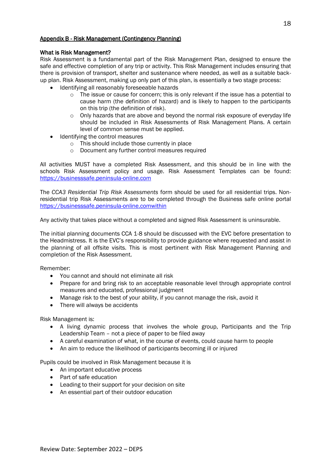#### Appendix B - Risk Management (Contingency Planning)

#### What is Risk Management?

Risk Assessment is a fundamental part of the Risk Management Plan, designed to ensure the safe and effective completion of any trip or activity. This Risk Management includes ensuring that there is provision of transport, shelter and sustenance where needed, as well as a suitable backup plan. Risk Assessment, making up only part of this plan, is essentially a two stage process:

- Identifying all reasonably foreseeable hazards
	- o The issue or cause for concern; this is only relevant if the issue has a potential to cause harm (the definition of hazard) and is likely to happen to the participants on this trip (the definition of risk).
	- $\circ$  Only hazards that are above and beyond the normal risk exposure of everyday life should be included in Risk Assessments of Risk Management Plans. A certain level of common sense must be applied.
- Identifying the control measures
	- o This should include those currently in place
	- o Document any further control measures required

All activities MUST have a completed Risk Assessment, and this should be in line with the schools Risk Assessment policy and usage. Risk Assessment Templates can be found: [https://businesssafe.peninsula-online.com](https://businesssafe.peninsula-online.com/)

The *CCA3 Residential Trip Risk Assessments* form should be used for all residential trips. Nonresidential trip Risk Assessments are to be completed through the Business safe online portal [https://businesssafe.peninsula-online.comwithin](https://businesssafe.peninsula-online.comwithin/)

Any activity that takes place without a completed and signed Risk Assessment is uninsurable.

The initial planning documents CCA 1-8 should be discussed with the EVC before presentation to the Headmistress. It is the EVC's responsibility to provide guidance where requested and assist in the planning of all offsite visits. This is most pertinent with Risk Management Planning and completion of the Risk Assessment.

Remember:

- You cannot and should not eliminate all risk
- Prepare for and bring risk to an acceptable reasonable level through appropriate control measures and educated, professional judgment
- Manage risk to the best of your ability, if you cannot manage the risk, avoid it
- There will always be accidents

Risk Management is:

- A living dynamic process that involves the whole group, Participants and the Trip Leadership Team – not a piece of paper to be filed away
- A careful examination of what, in the course of events, could cause harm to people
- An aim to reduce the likelihood of participants becoming ill or injured

Pupils could be involved in Risk Management because it is

- An important educative process
- Part of safe education
- Leading to their support for your decision on site
- An essential part of their outdoor education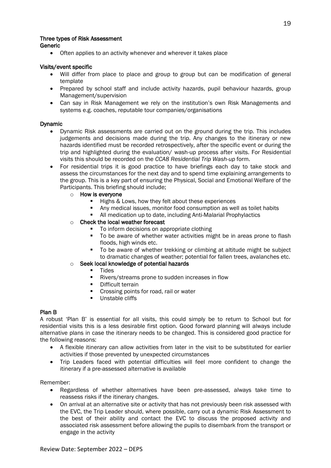#### Three types of Risk Assessment

Generic

• Often applies to an activity whenever and wherever it takes place

#### Visits/event specific

- Will differ from place to place and group to group but can be modification of general template
- Prepared by school staff and include activity hazards, pupil behaviour hazards, group Management/supervision
- Can say in Risk Management we rely on the institution's own Risk Managements and systems e.g. coaches, reputable tour companies/organisations

#### Dynamic

- Dynamic Risk assessments are carried out on the ground during the trip. This includes judgements and decisions made during the trip. Any changes to the itinerary or new hazards identified must be recorded retrospectively, after the specific event or during the trip and highlighted during the evaluation/ wash-up process after visits. For Residential visits this should be recorded on the *CCA8 Residential Trip Wash-up* form.
- For residential trips it is good practice to have briefings each day to take stock and assess the circumstances for the next day and to spend time explaining arrangements to the group. This is a key part of ensuring the Physical, Social and Emotional Welfare of the Participants. This briefing should include;
	- o How is everyone
		- Highs & Lows, how they felt about these experiences
		- Any medical issues, monitor food consumption as well as toilet habits
		- All medication up to date, including Anti-Malarial Prophylactics

#### o Check the local weather forecast

- To inform decisions on appropriate clothing
- To be aware of whether water activities might be in areas prone to flash floods, high winds etc.
- To be aware of whether trekking or climbing at altitude might be subject to dramatic changes of weather; potential for fallen trees, avalanches etc.

#### o Seek local knowledge of potential hazards

- Tides
- Rivers/streams prone to sudden increases in flow
- Difficult terrain
- Crossing points for road, rail or water
- Unstable cliffs

#### Plan B

A robust 'Plan B' is essential for all visits, this could simply be to return to School but for residential visits this is a less desirable first option. Good forward planning will always include alternative plans in case the itinerary needs to be changed. This is considered good practice for the following reasons:

- A flexible itinerary can allow activities from later in the visit to be substituted for earlier activities if those prevented by unexpected circumstances
- Trip Leaders faced with potential difficulties will feel more confident to change the itinerary if a pre-assessed alternative is available

Remember:

- Regardless of whether alternatives have been pre-assessed, always take time to reassess risks if the itinerary changes.
- On arrival at an alternative site or activity that has not previously been risk assessed with the EVC, the Trip Leader should, where possible, carry out a dynamic Risk Assessment to the best of their ability and contact the EVC to discuss the proposed activity and associated risk assessment before allowing the pupils to disembark from the transport or engage in the activity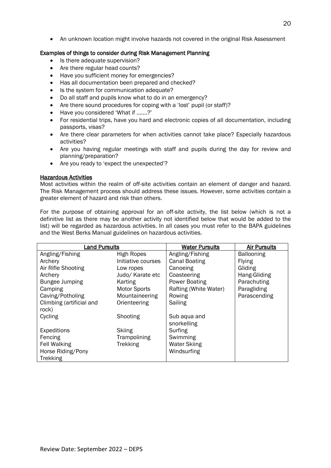• An unknown location might involve hazards not covered in the original Risk Assessment

#### Examples of things to consider during Risk Management Planning

- Is there adequate supervision?
- Are there regular head counts?
- Have you sufficient money for emergencies?
- Has all documentation been prepared and checked?
- Is the system for communication adequate?
- Do all staff and pupils know what to do in an emergency?
- Are there sound procedures for coping with a 'lost' pupil (or staff)?
- Have you considered 'What if …….?'
- For residential trips, have you hard and electronic copies of all documentation, including passports, visas?
- Are there clear parameters for when activities cannot take place? Especially hazardous activities?
- Are you having regular meetings with staff and pupils during the day for review and planning/preparation?
- Are you ready to 'expect the unexpected'?

#### Hazardous Activities

Most activities within the realm of off-site activities contain an element of danger and hazard. The Risk Management process should address these issues. However, some activities contain a greater element of hazard and risk than others.

For the purpose of obtaining approval for an off-site activity, the list below (which is not a definitive list as there may be another activity not identified below that would be added to the list) will be regarded as hazardous activities. In all cases you must refer to the BAPA guidelines and the West Berks Manual guidelines on hazardous activities.

| <b>Land Pursuits</b>     |                     | <b>Water Pursuits</b> | <b>Air Pursuits</b> |
|--------------------------|---------------------|-----------------------|---------------------|
| Angling/Fishing          | <b>High Ropes</b>   | Angling/Fishing       | <b>Ballooning</b>   |
| Archery                  | Initiative courses  | <b>Canal Boating</b>  | <b>Flying</b>       |
| Air Rifle Shooting       | Low ropes           | Canoeing              | Gliding             |
| Archery                  | Judo/ Karate etc    | Coasteering           | Hang-Gliding        |
| <b>Bungee Jumping</b>    | Karting             | Power Boating         | Parachuting         |
| Camping                  | <b>Motor Sports</b> | Rafting (White Water) | Paragliding         |
| Caving/Potholing         | Mountaineering      | Rowing                | Parascending        |
| Climbing (artificial and | Orienteering        | Sailing               |                     |
| rock)                    |                     |                       |                     |
| Cycling                  | Shooting            | Sub aqua and          |                     |
|                          |                     | snorkelling           |                     |
| Expeditions              | <b>Skiing</b>       | Surfing               |                     |
| Fencing                  | Trampolining        | Swimming              |                     |
| <b>Fell Walking</b>      | <b>Trekking</b>     | <b>Water Skiing</b>   |                     |
| Horse Riding/Pony        |                     | Windsurfing           |                     |
| Trekking                 |                     |                       |                     |